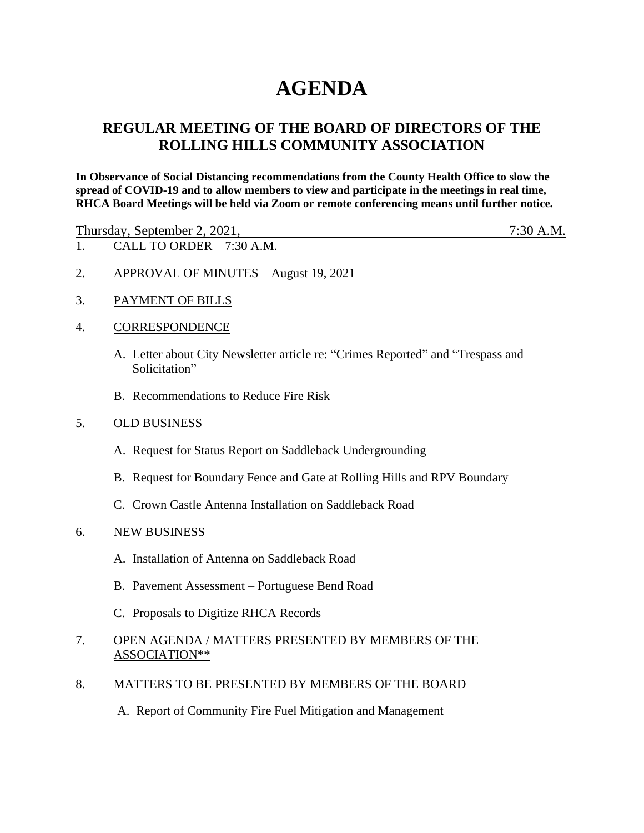# **AGENDA**

## **REGULAR MEETING OF THE BOARD OF DIRECTORS OF THE ROLLING HILLS COMMUNITY ASSOCIATION**

**In Observance of Social Distancing recommendations from the County Health Office to slow the spread of COVID-19 and to allow members to view and participate in the meetings in real time, RHCA Board Meetings will be held via Zoom or remote conferencing means until further notice.** 

Thursday, September 2, 2021, 7:30 A.M.

- 1. CALL TO ORDER 7:30 A.M.
- 2. APPROVAL OF MINUTES August 19, 2021
- 3. PAYMENT OF BILLS

#### 4. CORRESPONDENCE

- A. Letter about City Newsletter article re: "Crimes Reported" and "Trespass and Solicitation"
- B. Recommendations to Reduce Fire Risk

#### 5. OLD BUSINESS

- A. Request for Status Report on Saddleback Undergrounding
- B. Request for Boundary Fence and Gate at Rolling Hills and RPV Boundary
- C. Crown Castle Antenna Installation on Saddleback Road

#### 6. NEW BUSINESS

- A. Installation of Antenna on Saddleback Road
- B. Pavement Assessment Portuguese Bend Road
- C. Proposals to Digitize RHCA Records

### 7. OPEN AGENDA / MATTERS PRESENTED BY MEMBERS OF THE ASSOCIATION\*\*

#### 8. MATTERS TO BE PRESENTED BY MEMBERS OF THE BOARD

A. Report of Community Fire Fuel Mitigation and Management